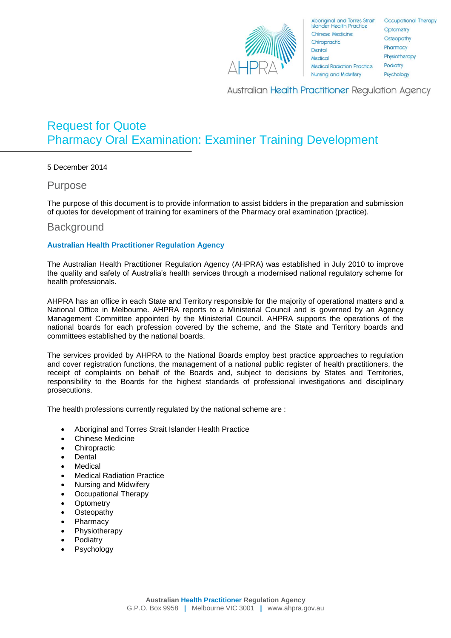

**Australian Health Practitioner Regulation Agency** 

# Request for Quote Pharmacy Oral Examination: Examiner Training Development

5 December 2014

Purpose

The purpose of this document is to provide information to assist bidders in the preparation and submission of quotes for development of training for examiners of the Pharmacy oral examination (practice).

## **Background**

#### **Australian Health Practitioner Regulation Agency**

The Australian Health Practitioner Regulation Agency (AHPRA) was established in July 2010 to improve the quality and safety of Australia's health services through a modernised national regulatory scheme for health professionals.

AHPRA has an office in each State and Territory responsible for the majority of operational matters and a National Office in Melbourne. AHPRA reports to a Ministerial Council and is governed by an Agency Management Committee appointed by the Ministerial Council. AHPRA supports the operations of the national boards for each profession covered by the scheme, and the State and Territory boards and committees established by the national boards.

The services provided by AHPRA to the National Boards employ best practice approaches to regulation and cover registration functions, the management of a national public register of health practitioners, the receipt of complaints on behalf of the Boards and, subject to decisions by States and Territories, responsibility to the Boards for the highest standards of professional investigations and disciplinary prosecutions.

The health professions currently regulated by the national scheme are :

- Aboriginal and Torres Strait Islander Health Practice
- Chinese Medicine
- **Chiropractic**
- **Dental**
- Medical
- Medical Radiation Practice
- Nursing and Midwifery
- Occupational Therapy
- **Optometry**
- **Osteopathy**
- Pharmacy
- Physiotherapy
- Podiatry
- Psychology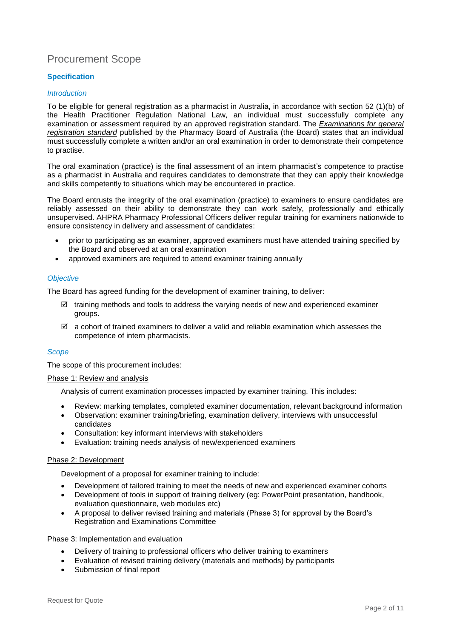# Procurement Scope

#### **Specification**

#### *Introduction*

To be eligible for general registration as a pharmacist in Australia, in accordance with section 52 (1)(b) of the Health Practitioner Regulation National Law, an individual must successfully complete any examination or assessment required by an approved registration standard. The *[Examinations for general](http://www.pharmacyboard.gov.au/Registration-Standards.aspx)  [registration standard](http://www.pharmacyboard.gov.au/Registration-Standards.aspx)* published by the Pharmacy Board of Australia (the Board) states that an individual must successfully complete a written and/or an oral examination in order to demonstrate their competence to practise.

The oral examination (practice) is the final assessment of an intern pharmacist's competence to practise as a pharmacist in Australia and requires candidates to demonstrate that they can apply their knowledge and skills competently to situations which may be encountered in practice.

The Board entrusts the integrity of the oral examination (practice) to examiners to ensure candidates are reliably assessed on their ability to demonstrate they can work safely, professionally and ethically unsupervised. AHPRA Pharmacy Professional Officers deliver regular training for examiners nationwide to ensure consistency in delivery and assessment of candidates:

- prior to participating as an examiner, approved examiners must have attended training specified by the Board and observed at an oral examination
- approved examiners are required to attend examiner training annually

#### *Objective*

The Board has agreed funding for the development of examiner training, to deliver:

- $\boxtimes$  training methods and tools to address the varying needs of new and experienced examiner groups.
- $\boxtimes$  a cohort of trained examiners to deliver a valid and reliable examination which assesses the competence of intern pharmacists.

#### *Scope*

The scope of this procurement includes:

#### Phase 1: Review and analysis

Analysis of current examination processes impacted by examiner training. This includes:

- Review: marking templates, completed examiner documentation, relevant background information
- Observation: examiner training/briefing, examination delivery, interviews with unsuccessful candidates
- Consultation: key informant interviews with stakeholders
- Evaluation: training needs analysis of new/experienced examiners

#### Phase 2: Development

Development of a proposal for examiner training to include:

- Development of tailored training to meet the needs of new and experienced examiner cohorts
- Development of tools in support of training delivery (eg: PowerPoint presentation, handbook, evaluation questionnaire, web modules etc)
- A proposal to deliver revised training and materials (Phase 3) for approval by the Board's Registration and Examinations Committee

#### Phase 3: Implementation and evaluation

- Delivery of training to professional officers who deliver training to examiners
- Evaluation of revised training delivery (materials and methods) by participants
- Submission of final report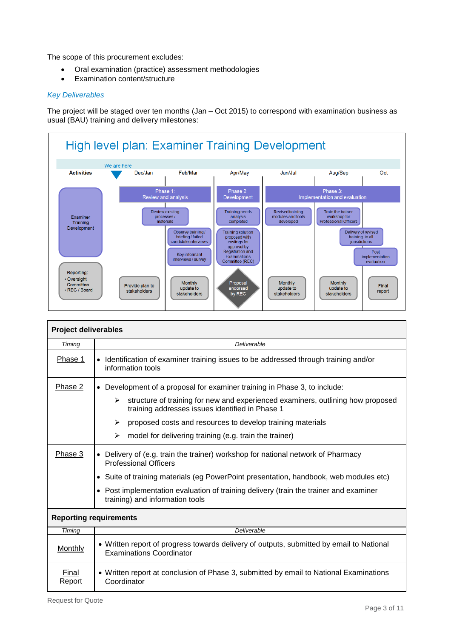The scope of this procurement excludes:

- Oral examination (practice) assessment methodologies
- Examination content/structure

#### *Key Deliverables*

The project will be staged over ten months (Jan – Oct 2015) to correspond with examination business as usual (BAU) training and delivery milestones:



| <b>Project deliverables</b>   |                                                                                                                                         |  |  |  |
|-------------------------------|-----------------------------------------------------------------------------------------------------------------------------------------|--|--|--|
| Timing                        | Deliverable                                                                                                                             |  |  |  |
| Phase 1                       | • Identification of examiner training issues to be addressed through training and/or<br>information tools                               |  |  |  |
| Phase 2                       | • Development of a proposal for examiner training in Phase 3, to include:                                                               |  |  |  |
|                               | structure of training for new and experienced examiners, outlining how proposed<br>➤<br>training addresses issues identified in Phase 1 |  |  |  |
|                               | ➤<br>proposed costs and resources to develop training materials                                                                         |  |  |  |
|                               | ≻<br>model for delivering training (e.g. train the trainer)                                                                             |  |  |  |
| Phase 3                       | • Delivery of (e.g. train the trainer) workshop for national network of Pharmacy<br><b>Professional Officers</b>                        |  |  |  |
|                               | • Suite of training materials (eg PowerPoint presentation, handbook, web modules etc)                                                   |  |  |  |
|                               | • Post implementation evaluation of training delivery (train the trainer and examiner<br>training) and information tools                |  |  |  |
| <b>Reporting requirements</b> |                                                                                                                                         |  |  |  |
| Timing                        | Deliverable                                                                                                                             |  |  |  |
| Monthly                       | • Written report of progress towards delivery of outputs, submitted by email to National<br><b>Examinations Coordinator</b>             |  |  |  |
| Final<br>Report               | • Written report at conclusion of Phase 3, submitted by email to National Examinations<br>Coordinator                                   |  |  |  |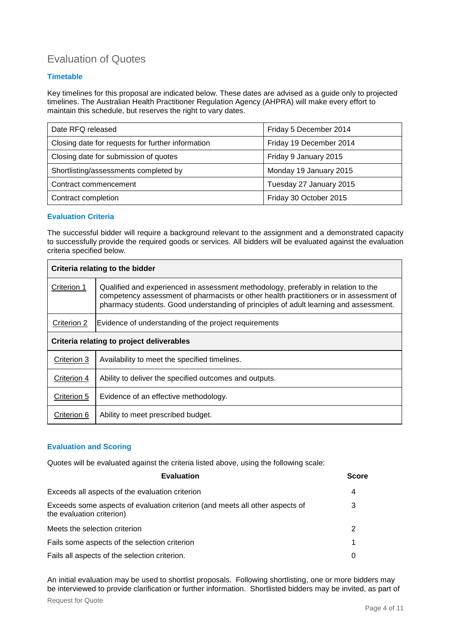# Evaluation of Quotes

### **Timetable**

Key timelines for this proposal are indicated below. These dates are advised as a guide only to projected timelines. The Australian Health Practitioner Regulation Agency (AHPRA) will make every effort to maintain this schedule, but reserves the right to vary dates.

| Date RFQ released                                 | Friday 5 December 2014  |  |
|---------------------------------------------------|-------------------------|--|
| Closing date for requests for further information | Friday 19 December 2014 |  |
| Closing date for submission of quotes             | Friday 9 January 2015   |  |
| Shortlisting/assessments completed by             | Monday 19 January 2015  |  |
| Contract commencement                             | Tuesday 27 January 2015 |  |
| Contract completion                               | Friday 30 October 2015  |  |

#### **Evaluation Criteria**

The successful bidder will require a background relevant to the assignment and a demonstrated capacity to successfully provide the required goods or services. All bidders will be evaluated against the evaluation criteria specified below.

| Criteria relating to the bidder           |                                                                                                                                                                                                                                                                       |  |  |
|-------------------------------------------|-----------------------------------------------------------------------------------------------------------------------------------------------------------------------------------------------------------------------------------------------------------------------|--|--|
| Criterion 1                               | Qualified and experienced in assessment methodology, preferably in relation to the<br>competency assessment of pharmacists or other health practitioners or in assessment of<br>pharmacy students. Good understanding of principles of adult learning and assessment. |  |  |
| Criterion 2                               | Evidence of understanding of the project requirements                                                                                                                                                                                                                 |  |  |
| Criteria relating to project deliverables |                                                                                                                                                                                                                                                                       |  |  |
| Criterion 3                               | Availability to meet the specified timelines.                                                                                                                                                                                                                         |  |  |
| Criterion 4                               | Ability to deliver the specified outcomes and outputs.                                                                                                                                                                                                                |  |  |
| Criterion 5                               | Evidence of an effective methodology.                                                                                                                                                                                                                                 |  |  |
| Criterion 6                               | Ability to meet prescribed budget.                                                                                                                                                                                                                                    |  |  |

#### **Evaluation and Scoring**

Quotes will be evaluated against the criteria listed above, using the following scale:

| <b>Evaluation</b>                                                                                         | <b>Score</b> |
|-----------------------------------------------------------------------------------------------------------|--------------|
| Exceeds all aspects of the evaluation criterion                                                           | 4            |
| Exceeds some aspects of evaluation criterion (and meets all other aspects of<br>the evaluation criterion) | 3            |
| Meets the selection criterion                                                                             | 2            |
| Fails some aspects of the selection criterion                                                             | 1            |
| Fails all aspects of the selection criterion.                                                             | 0            |

An initial evaluation may be used to shortlist proposals. Following shortlisting, one or more bidders may be interviewed to provide clarification or further information. Shortlisted bidders may be invited, as part of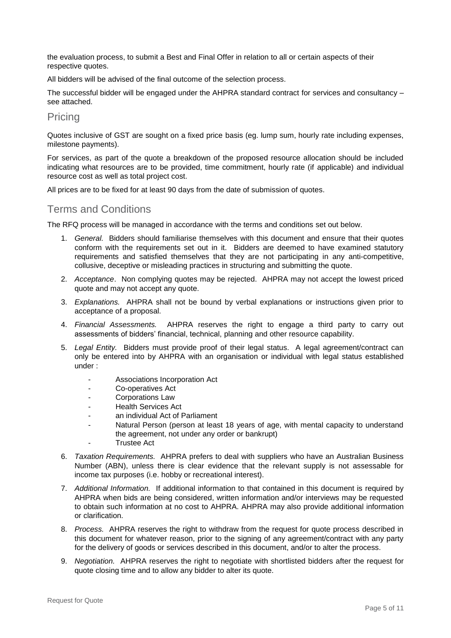the evaluation process, to submit a Best and Final Offer in relation to all or certain aspects of their respective quotes.

All bidders will be advised of the final outcome of the selection process.

The successful bidder will be engaged under the AHPRA standard contract for services and consultancy – see attached.

## Pricing

Quotes inclusive of GST are sought on a fixed price basis (eg. lump sum, hourly rate including expenses, milestone payments).

For services, as part of the quote a breakdown of the proposed resource allocation should be included indicating what resources are to be provided, time commitment, hourly rate (if applicable) and individual resource cost as well as total project cost.

All prices are to be fixed for at least 90 days from the date of submission of quotes.

# Terms and Conditions

The RFQ process will be managed in accordance with the terms and conditions set out below.

- 1. *General.* Bidders should familiarise themselves with this document and ensure that their quotes conform with the requirements set out in it. Bidders are deemed to have examined statutory requirements and satisfied themselves that they are not participating in any anti-competitive, collusive, deceptive or misleading practices in structuring and submitting the quote.
- 2. *Acceptance*. Non complying quotes may be rejected. AHPRA may not accept the lowest priced quote and may not accept any quote.
- 3. *Explanations.* AHPRA shall not be bound by verbal explanations or instructions given prior to acceptance of a proposal.
- 4. *Financial Assessments.* AHPRA reserves the right to engage a third party to carry out assessments of bidders' financial, technical, planning and other resource capability.
- 5. *Legal Entity.* Bidders must provide proof of their legal status. A legal agreement/contract can only be entered into by AHPRA with an organisation or individual with legal status established under :
	- Associations Incorporation Act
	- Co-operatives Act
	- Corporations Law
	- Health Services Act
	- an individual Act of Parliament
	- Natural Person (person at least 18 years of age, with mental capacity to understand the agreement, not under any order or bankrupt)
	- **Trustee Act**
- 6. *Taxation Requirements.* AHPRA prefers to deal with suppliers who have an Australian Business Number (ABN), unless there is clear evidence that the relevant supply is not assessable for income tax purposes (i.e. hobby or recreational interest).
- 7. *Additional Information.* If additional information to that contained in this document is required by AHPRA when bids are being considered, written information and/or interviews may be requested to obtain such information at no cost to AHPRA. AHPRA may also provide additional information or clarification.
- 8. *Process.* AHPRA reserves the right to withdraw from the request for quote process described in this document for whatever reason, prior to the signing of any agreement/contract with any party for the delivery of goods or services described in this document, and/or to alter the process.
- 9. *Negotiation.* AHPRA reserves the right to negotiate with shortlisted bidders after the request for quote closing time and to allow any bidder to alter its quote.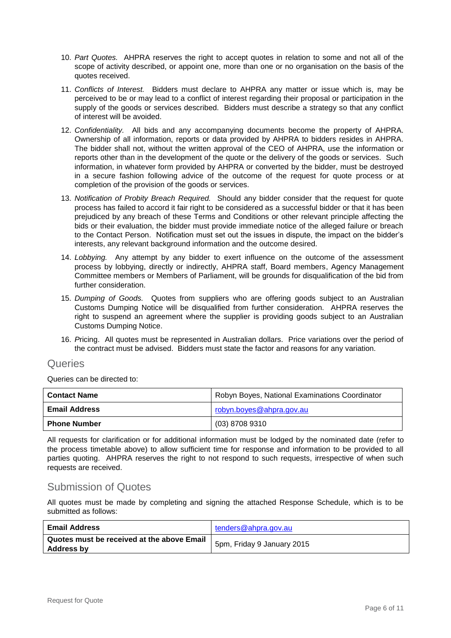- 10. *Part Quotes.* AHPRA reserves the right to accept quotes in relation to some and not all of the scope of activity described, or appoint one, more than one or no organisation on the basis of the quotes received.
- 11. *Conflicts of Interest.* Bidders must declare to AHPRA any matter or issue which is, may be perceived to be or may lead to a conflict of interest regarding their proposal or participation in the supply of the goods or services described. Bidders must describe a strategy so that any conflict of interest will be avoided.
- 12. *Confidentiality.* All bids and any accompanying documents become the property of AHPRA. Ownership of all information, reports or data provided by AHPRA to bidders resides in AHPRA. The bidder shall not, without the written approval of the CEO of AHPRA, use the information or reports other than in the development of the quote or the delivery of the goods or services. Such information, in whatever form provided by AHPRA or converted by the bidder, must be destroyed in a secure fashion following advice of the outcome of the request for quote process or at completion of the provision of the goods or services.
- 13. *Notification of Probity Breach Required.* Should any bidder consider that the request for quote process has failed to accord it fair right to be considered as a successful bidder or that it has been prejudiced by any breach of these Terms and Conditions or other relevant principle affecting the bids or their evaluation, the bidder must provide immediate notice of the alleged failure or breach to the Contact Person. Notification must set out the issues in dispute, the impact on the bidder's interests, any relevant background information and the outcome desired.
- 14. *Lobbying.* Any attempt by any bidder to exert influence on the outcome of the assessment process by lobbying, directly or indirectly, AHPRA staff, Board members, Agency Management Committee members or Members of Parliament, will be grounds for disqualification of the bid from further consideration.
- 15. *Dumping of Goods.* Quotes from suppliers who are offering goods subject to an Australian Customs Dumping Notice will be disqualified from further consideration. AHPRA reserves the right to suspend an agreement where the supplier is providing goods subject to an Australian Customs Dumping Notice.
- 16. *P*ricing. All quotes must be represented in Australian dollars. Price variations over the period of the contract must be advised. Bidders must state the factor and reasons for any variation.

## **Queries**

Queries can be directed to:

| <b>Contact Name</b>  | Robyn Boyes, National Examinations Coordinator |  |
|----------------------|------------------------------------------------|--|
| <b>Email Address</b> | robyn.boyes@ahpra.gov.au                       |  |
| <b>Phone Number</b>  | (03) 8708 9310                                 |  |

All requests for clarification or for additional information must be lodged by the nominated date (refer to the process timetable above) to allow sufficient time for response and information to be provided to all parties quoting. AHPRA reserves the right to not respond to such requests, irrespective of when such requests are received.

## Submission of Quotes

All quotes must be made by completing and signing the attached Response Schedule, which is to be submitted as follows:

| <b>Email Address</b>                                     | tenders@ahpra.gov.au       |
|----------------------------------------------------------|----------------------------|
| Quotes must be received at the above Email<br>Address by | 5pm, Friday 9 January 2015 |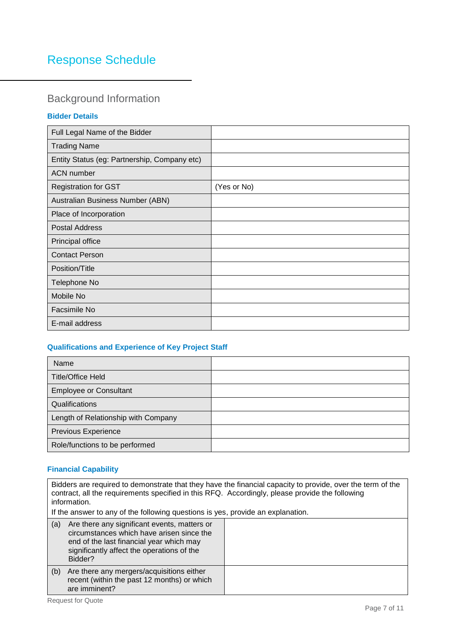# Response Schedule

# Background Information

## **Bidder Details**

| Full Legal Name of the Bidder                |             |
|----------------------------------------------|-------------|
| <b>Trading Name</b>                          |             |
| Entity Status (eg: Partnership, Company etc) |             |
| <b>ACN</b> number                            |             |
| <b>Registration for GST</b>                  | (Yes or No) |
| Australian Business Number (ABN)             |             |
| Place of Incorporation                       |             |
| <b>Postal Address</b>                        |             |
| Principal office                             |             |
| <b>Contact Person</b>                        |             |
| Position/Title                               |             |
| Telephone No                                 |             |
| Mobile No                                    |             |
| Facsimile No                                 |             |
| E-mail address                               |             |

# **Qualifications and Experience of Key Project Staff**

| Name                                |  |
|-------------------------------------|--|
| <b>Title/Office Held</b>            |  |
| <b>Employee or Consultant</b>       |  |
| Qualifications                      |  |
| Length of Relationship with Company |  |
| <b>Previous Experience</b>          |  |
| Role/functions to be performed      |  |

# **Financial Capability**

| Bidders are required to demonstrate that they have the financial capacity to provide, over the term of the<br>contract, all the requirements specified in this RFQ. Accordingly, please provide the following<br>information. |  |  |  |
|-------------------------------------------------------------------------------------------------------------------------------------------------------------------------------------------------------------------------------|--|--|--|
| If the answer to any of the following questions is yes, provide an explanation.                                                                                                                                               |  |  |  |
| Are there any significant events, matters or<br>(a)<br>circumstances which have arisen since the<br>end of the last financial year which may<br>significantly affect the operations of the<br>Bidder?                         |  |  |  |
| Are there any mergers/acquisitions either<br>(b)<br>recent (within the past 12 months) or which<br>are imminent?                                                                                                              |  |  |  |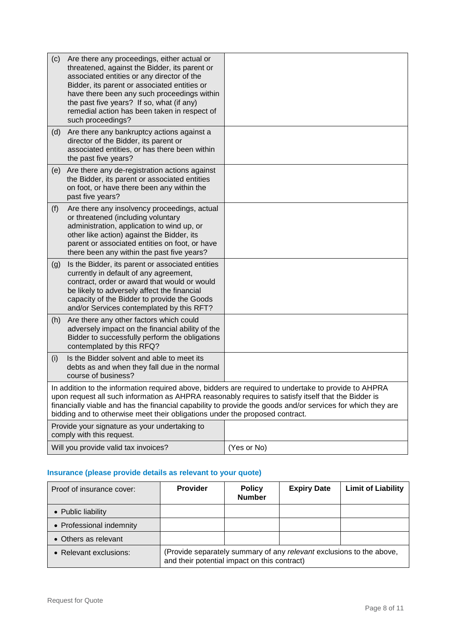| (c)                                                                                                                                                                                                                                                                                                                                                                                                        | Are there any proceedings, either actual or                                                                                                                                                                                                                                                                  |             |
|------------------------------------------------------------------------------------------------------------------------------------------------------------------------------------------------------------------------------------------------------------------------------------------------------------------------------------------------------------------------------------------------------------|--------------------------------------------------------------------------------------------------------------------------------------------------------------------------------------------------------------------------------------------------------------------------------------------------------------|-------------|
|                                                                                                                                                                                                                                                                                                                                                                                                            | threatened, against the Bidder, its parent or<br>associated entities or any director of the<br>Bidder, its parent or associated entities or<br>have there been any such proceedings within<br>the past five years? If so, what (if any)<br>remedial action has been taken in respect of<br>such proceedings? |             |
| (d)                                                                                                                                                                                                                                                                                                                                                                                                        | Are there any bankruptcy actions against a                                                                                                                                                                                                                                                                   |             |
|                                                                                                                                                                                                                                                                                                                                                                                                            | director of the Bidder, its parent or<br>associated entities, or has there been within<br>the past five years?                                                                                                                                                                                               |             |
| (e)                                                                                                                                                                                                                                                                                                                                                                                                        | Are there any de-registration actions against<br>the Bidder, its parent or associated entities<br>on foot, or have there been any within the<br>past five years?                                                                                                                                             |             |
| (f)                                                                                                                                                                                                                                                                                                                                                                                                        | Are there any insolvency proceedings, actual<br>or threatened (including voluntary<br>administration, application to wind up, or<br>other like action) against the Bidder, its<br>parent or associated entities on foot, or have<br>there been any within the past five years?                               |             |
| (g)                                                                                                                                                                                                                                                                                                                                                                                                        | Is the Bidder, its parent or associated entities<br>currently in default of any agreement,<br>contract, order or award that would or would<br>be likely to adversely affect the financial<br>capacity of the Bidder to provide the Goods<br>and/or Services contemplated by this RFT?                        |             |
| (h)                                                                                                                                                                                                                                                                                                                                                                                                        | Are there any other factors which could<br>adversely impact on the financial ability of the<br>Bidder to successfully perform the obligations<br>contemplated by this RFQ?                                                                                                                                   |             |
| (i)                                                                                                                                                                                                                                                                                                                                                                                                        | Is the Bidder solvent and able to meet its<br>debts as and when they fall due in the normal<br>course of business?                                                                                                                                                                                           |             |
| In addition to the information required above, bidders are required to undertake to provide to AHPRA<br>upon request all such information as AHPRA reasonably requires to satisfy itself that the Bidder is<br>financially viable and has the financial capability to provide the goods and/or services for which they are<br>bidding and to otherwise meet their obligations under the proposed contract. |                                                                                                                                                                                                                                                                                                              |             |
| Provide your signature as your undertaking to<br>comply with this request.                                                                                                                                                                                                                                                                                                                                 |                                                                                                                                                                                                                                                                                                              |             |
| Will you provide valid tax invoices?                                                                                                                                                                                                                                                                                                                                                                       |                                                                                                                                                                                                                                                                                                              | (Yes or No) |

# **Insurance (please provide details as relevant to your quote)**

| Proof of insurance cover: | <b>Provider</b>                                                                                                      | <b>Policy</b><br><b>Number</b> | <b>Expiry Date</b> | <b>Limit of Liability</b> |
|---------------------------|----------------------------------------------------------------------------------------------------------------------|--------------------------------|--------------------|---------------------------|
| • Public liability        |                                                                                                                      |                                |                    |                           |
| • Professional indemnity  |                                                                                                                      |                                |                    |                           |
| • Others as relevant      |                                                                                                                      |                                |                    |                           |
| • Relevant exclusions:    | (Provide separately summary of any relevant exclusions to the above,<br>and their potential impact on this contract) |                                |                    |                           |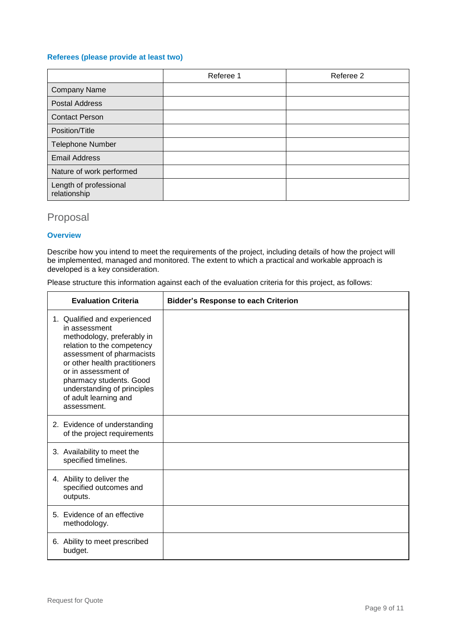#### **Referees (please provide at least two)**

|                                        | Referee 1 | Referee 2 |
|----------------------------------------|-----------|-----------|
| <b>Company Name</b>                    |           |           |
| Postal Address                         |           |           |
| <b>Contact Person</b>                  |           |           |
| Position/Title                         |           |           |
| <b>Telephone Number</b>                |           |           |
| <b>Email Address</b>                   |           |           |
| Nature of work performed               |           |           |
| Length of professional<br>relationship |           |           |

# Proposal

#### **Overview**

Describe how you intend to meet the requirements of the project, including details of how the project will be implemented, managed and monitored. The extent to which a practical and workable approach is developed is a key consideration.

Please structure this information against each of the evaluation criteria for this project, as follows:

| <b>Evaluation Criteria</b>                                                                                                                                                                                                                                                                       | <b>Bidder's Response to each Criterion</b> |
|--------------------------------------------------------------------------------------------------------------------------------------------------------------------------------------------------------------------------------------------------------------------------------------------------|--------------------------------------------|
| 1. Qualified and experienced<br>in assessment<br>methodology, preferably in<br>relation to the competency<br>assessment of pharmacists<br>or other health practitioners<br>or in assessment of<br>pharmacy students. Good<br>understanding of principles<br>of adult learning and<br>assessment. |                                            |
| 2. Evidence of understanding<br>of the project requirements                                                                                                                                                                                                                                      |                                            |
| 3. Availability to meet the<br>specified timelines.                                                                                                                                                                                                                                              |                                            |
| 4. Ability to deliver the<br>specified outcomes and<br>outputs.                                                                                                                                                                                                                                  |                                            |
| 5. Evidence of an effective<br>methodology.                                                                                                                                                                                                                                                      |                                            |
| 6. Ability to meet prescribed<br>budget.                                                                                                                                                                                                                                                         |                                            |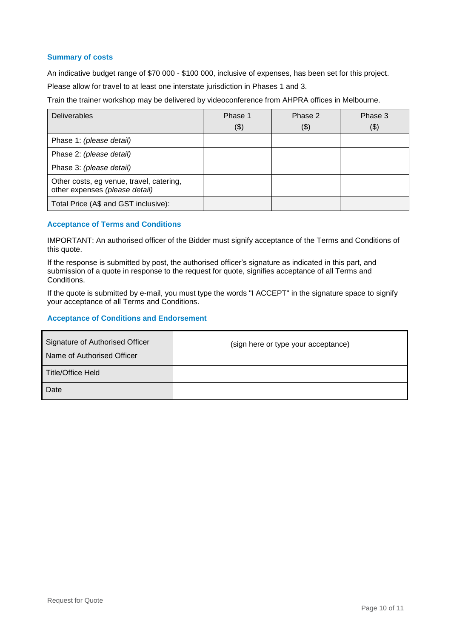#### **Summary of costs**

An indicative budget range of \$70 000 - \$100 000, inclusive of expenses, has been set for this project.

Please allow for travel to at least one interstate jurisdiction in Phases 1 and 3.

Train the trainer workshop may be delivered by videoconference from AHPRA offices in Melbourne.

| <b>Deliverables</b>                                                        | Phase 1<br>(3) | Phase 2<br>(\$) | Phase 3<br>\$) |
|----------------------------------------------------------------------------|----------------|-----------------|----------------|
| Phase 1: (please detail)                                                   |                |                 |                |
| Phase 2: (please detail)                                                   |                |                 |                |
| Phase 3: (please detail)                                                   |                |                 |                |
| Other costs, eg venue, travel, catering,<br>other expenses (please detail) |                |                 |                |
| Total Price (A\$ and GST inclusive):                                       |                |                 |                |

#### **Acceptance of Terms and Conditions**

IMPORTANT: An authorised officer of the Bidder must signify acceptance of the Terms and Conditions of this quote.

If the response is submitted by post, the authorised officer's signature as indicated in this part, and submission of a quote in response to the request for quote, signifies acceptance of all Terms and Conditions.

If the quote is submitted by e-mail, you must type the words "I ACCEPT" in the signature space to signify your acceptance of all Terms and Conditions.

#### **Acceptance of Conditions and Endorsement**

| Signature of Authorised Officer | (sign here or type your acceptance) |
|---------------------------------|-------------------------------------|
| Name of Authorised Officer      |                                     |
| Title/Office Held               |                                     |
| Date                            |                                     |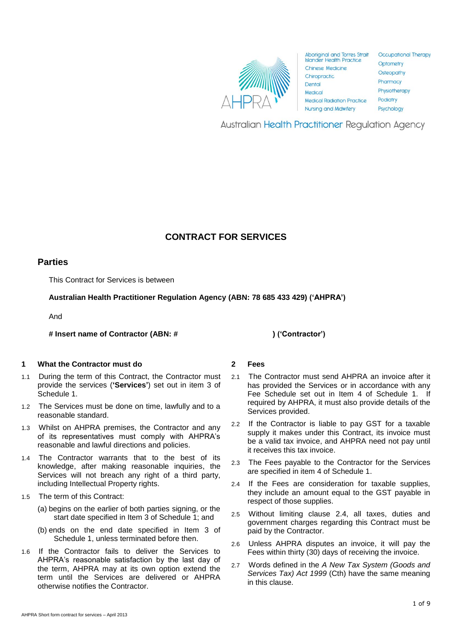

| poriginal and Torres Strait    | <b>Occupational Therapy</b>                                              |  |  |
|--------------------------------|--------------------------------------------------------------------------|--|--|
| ander Health Practice          | Optometry                                                                |  |  |
| hinese Medicine<br>hiropractic | <b>Osteopathy</b><br>Pharmacy<br>Physiotherapy<br>Podiatry<br>Psychology |  |  |
| ental                          |                                                                          |  |  |
| edical                         |                                                                          |  |  |
| edical Radiation Practice      |                                                                          |  |  |
| <b>ursing and Midwifery</b>    |                                                                          |  |  |
|                                |                                                                          |  |  |

**Australian Health Practitioner Regulation Agency** 

# **CONTRACT FOR SERVICES**

## **Parties**

This Contract for Services is between

**Australian Health Practitioner Regulation Agency (ABN: 78 685 433 429) ('AHPRA')**

And

**# Insert name of Contractor (ABN: # ) ('Contractor')**

#### **1 What the Contractor must do**

- 1.1 During the term of this Contract, the Contractor must provide the services (**'Services'**) set out in item 3 of Schedule 1.
- 1.2 The Services must be done on time, lawfully and to a reasonable standard.
- 1.3 Whilst on AHPRA premises, the Contractor and any of its representatives must comply with AHPRA's reasonable and lawful directions and policies.
- 1.4 The Contractor warrants that to the best of its knowledge, after making reasonable inquiries, the Services will not breach any right of a third party, including Intellectual Property rights.
- 1.5 The term of this Contract:
	- (a) begins on the earlier of both parties signing, or the start date specified in Item 3 of Schedule 1; and
	- (b) ends on the end date specified in Item 3 of Schedule 1, unless terminated before then.
- 1.6 If the Contractor fails to deliver the Services to AHPRA's reasonable satisfaction by the last day of the term, AHPRA may at its own option extend the term until the Services are delivered or AHPRA otherwise notifies the Contractor.

**2 Fees**

- 2.1 The Contractor must send AHPRA an invoice after it has provided the Services or in accordance with any Fee Schedule set out in Item 4 of Schedule 1. If required by AHPRA, it must also provide details of the Services provided.
- 2.2 If the Contractor is liable to pay GST for a taxable supply it makes under this Contract, its invoice must be a valid tax invoice, and AHPRA need not pay until it receives this tax invoice.
- 2.3 The Fees payable to the Contractor for the Services are specified in item 4 of Schedule 1.
- <span id="page-11-0"></span>2.4 If the Fees are consideration for taxable supplies, they include an amount equal to the GST payable in respect of those supplies.
- 2.5 Without limiting clause 2.4, all taxes, duties and government charges regarding this Contract must be paid by the Contractor.
- 2.6 Unless AHPRA disputes an invoice, it will pay the Fees within thirty (30) days of receiving the invoice.
- 2.7 Words defined in the *A New Tax System (Goods and Services Tax) Act 1999* (Cth) have the same meaning in this clause.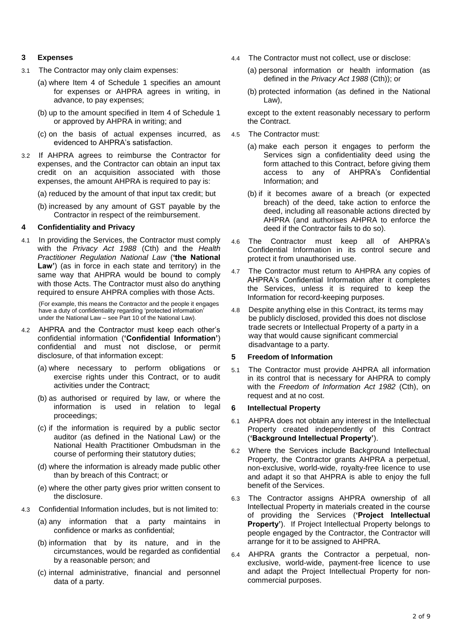#### **3 Expenses**

- 3.1 The Contractor may only claim expenses:
	- (a) where Item 4 of Schedule 1 specifies an amount for expenses or AHPRA agrees in writing, in advance, to pay expenses;
	- (b) up to the amount specified in Item 4 of Schedule 1 or approved by AHPRA in writing; and
	- (c) on the basis of actual expenses incurred, as evidenced to AHPRA's satisfaction.
- <span id="page-12-2"></span>3.2 If AHPRA agrees to reimburse the Contractor for expenses, and the Contractor can obtain an input tax credit on an acquisition associated with those expenses, the amount AHPRA is required to pay is:
	- (a) reduced by the amount of that input tax credit; but
	- (b) increased by any amount of GST payable by the Contractor in respect of the reimbursement.

#### **4 Confidentiality and Privacy**

4.1 In providing the Services, the Contractor must comply with the *Privacy Act 1988* (Cth) and the *Health Practitioner Regulation National Law* (**'the National Law'**) (as in force in each state and territory) in the same way that AHPRA would be bound to comply with those Acts. The Contractor must also do anything required to ensure AHPRA complies with those Acts.

(For example, this means the Contractor and the people it engages have a duty of confidentiality regarding 'protected information' under the National Law – see Part 10 of the National Law).

- 4.2 AHPRA and the Contractor must keep each other's confidential information (**'Confidential Information'**) confidential and must not disclose, or permit disclosure, of that information except:
	- (a) where necessary to perform obligations or exercise rights under this Contract, or to audit activities under the Contract;
	- (b) as authorised or required by law, or where the information is used in relation to legal proceedings;
	- (c) if the information is required by a public sector auditor (as defined in the National Law) or the National Health Practitioner Ombudsman in the course of performing their statutory duties;
	- (d) where the information is already made public other than by breach of this Contract; or
	- (e) where the other party gives prior written consent to the disclosure.
- 4.3 Confidential Information includes, but is not limited to:
	- (a) any information that a party maintains in confidence or marks as confidential;
	- (b) information that by its nature, and in the circumstances, would be regarded as confidential by a reasonable person; and
	- (c) internal administrative, financial and personnel data of a party.
- 4.4 The Contractor must not collect, use or disclose:
	- (a) personal information or health information (as defined in the *Privacy Act 1988* (Cth)); or
	- (b) protected information (as defined in the National Law),

except to the extent reasonably necessary to perform the Contract.

- 4.5 The Contractor must:
	- (a) make each person it engages to perform the Services sign a confidentiality deed using the form attached to this Contract, before giving them access to any of AHPRA's Confidential Information; and
	- (b) if it becomes aware of a breach (or expected breach) of the deed, take action to enforce the deed, including all reasonable actions directed by AHPRA (and authorises AHPRA to enforce the deed if the Contractor fails to do so).
- 4.6 The Contractor must keep all of AHPRA's Confidential Information in its control secure and protect it from unauthorised use.
- 4.7 The Contractor must return to AHPRA any copies of AHPRA's Confidential Information after it completes the Services, unless it is required to keep the Information for record-keeping purposes.
- 4.8 Despite anything else in this Contract, its terms may be publicly disclosed, provided this does not disclose trade secrets or Intellectual Property of a party in a way that would cause significant commercial disadvantage to a party.

#### <span id="page-12-1"></span>**5 Freedom of Information**

5.1 The Contractor must provide AHPRA all information in its control that is necessary for AHPRA to comply with the *Freedom of Information Act 1982* (Cth), on request and at no cost.

#### <span id="page-12-0"></span>**6 Intellectual Property**

- 6.1 AHPRA does not obtain any interest in the Intellectual Property created independently of this Contract (**'Background Intellectual Property'**).
- 6.2 Where the Services include Background Intellectual Property, the Contractor grants AHPRA a perpetual, non-exclusive, world-wide, royalty-free licence to use and adapt it so that AHPRA is able to enjoy the full benefit of the Services.
- 6.3 The Contractor assigns AHPRA ownership of all Intellectual Property in materials created in the course of providing the Services (**'Project Intellectual Property'**). If Project Intellectual Property belongs to people engaged by the Contractor, the Contractor will arrange for it to be assigned to AHPRA.
- 6.4 AHPRA grants the Contractor a perpetual, nonexclusive, world-wide, payment-free licence to use and adapt the Project Intellectual Property for noncommercial purposes.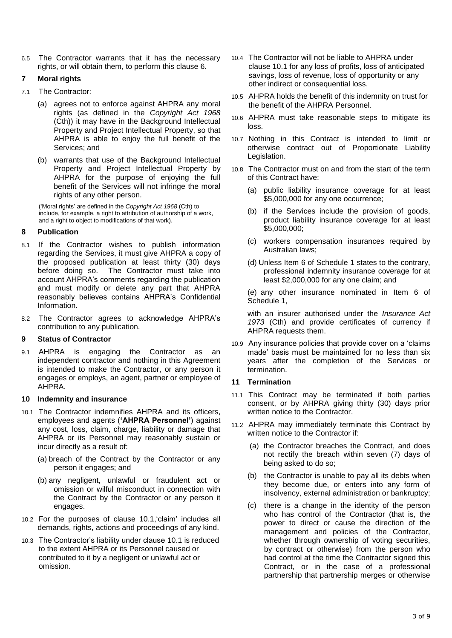6.5 The Contractor warrants that it has the necessary rights, or will obtain them, to perform this clause [6.](#page-12-0)

## <span id="page-13-1"></span>**7 Moral rights**

- 7.1 The Contractor:
	- (a) agrees not to enforce against AHPRA any moral rights (as defined in the *Copyright Act 1968*  (Cth)) it may have in the Background Intellectual Property and Project Intellectual Property, so that AHPRA is able to enjoy the full benefit of the Services; and
	- (b) warrants that use of the Background Intellectual Property and Project Intellectual Property by AHPRA for the purpose of enjoying the full benefit of the Services will not infringe the moral rights of any other person.

('Moral rights' are defined in the *Copyright Act 1968* (Cth) to include, for example, a right to attribution of authorship of a work, and a right to object to modifications of that work).

## <span id="page-13-2"></span>**8 Publication**

- 8.1 If the Contractor wishes to publish information regarding the Services, it must give AHPRA a copy of the proposed publication at least thirty (30) days before doing so. The Contractor must take into account AHPRA's comments regarding the publication and must modify or delete any part that AHPRA reasonably believes contains AHPRA's Confidential Information.
- 8.2 The Contractor agrees to acknowledge AHPRA's contribution to any publication.

## **9 Status of Contractor**

9.1 AHPRA is engaging the Contractor as an independent contractor and nothing in this Agreement is intended to make the Contractor, or any person it engages or employs, an agent, partner or employee of AHPRA.

#### **10 Indemnity and insurance**

- <span id="page-13-0"></span>10.1 The Contractor indemnifies AHPRA and its officers, employees and agents (**'AHPRA Personnel'**) against any cost, loss, claim, charge, liability or damage that AHPRA or its Personnel may reasonably sustain or incur directly as a result of:
	- (a) breach of the Contract by the Contractor or any person it engages; and
	- (b) any negligent, unlawful or fraudulent act or omission or wilful misconduct in connection with the Contract by the Contractor or any person it engages.
- 10.2 For the purposes of clause [10.1,](#page-13-0)'claim' includes all demands, rights, actions and proceedings of any kind.
- 10.3 The Contractor's liability under clause [10.1](#page-13-0) is reduced to the extent AHPRA or its Personnel caused or contributed to it by a negligent or unlawful act or omission.
- 10.4 The Contractor will not be liable to AHPRA under clause [10.1](#page-13-0) for any loss of profits, loss of anticipated savings, loss of revenue, loss of opportunity or any other indirect or consequential loss.
- 10.5 AHPRA holds the benefit of this indemnity on trust for the benefit of the AHPRA Personnel.
- 10.6 AHPRA must take reasonable steps to mitigate its loss.
- 10.7 Nothing in this Contract is intended to limit or otherwise contract out of Proportionate Liability Legislation.
- <span id="page-13-4"></span>10.8 The Contractor must on and from the start of the term of this Contract have:
	- (a) public liability insurance coverage for at least \$5,000,000 for any one occurrence;
	- (b) if the Services include the provision of goods, product liability insurance coverage for at least \$5,000,000;
	- (c) workers compensation insurances required by Australian laws;
	- (d) Unless Item 6 of Schedule 1 states to the contrary, professional indemnity insurance coverage for at least \$2,000,000 for any one claim; and

(e) any other insurance nominated in Item 6 of Schedule 1,

with an insurer authorised under the *Insurance Act 1973* (Cth) and provide certificates of currency if AHPRA requests them.

10.9 Any insurance policies that provide cover on a 'claims made' basis must be maintained for no less than six years after the completion of the Services or termination.

#### <span id="page-13-3"></span>**11 Termination**

- 11.1 This Contract may be terminated if both parties consent, or by AHPRA giving thirty (30) days prior written notice to the Contractor.
- 11.2 AHPRA may immediately terminate this Contract by written notice to the Contractor if:
	- (a) the Contractor breaches the Contract, and does not rectify the breach within seven (7) days of being asked to do so;
	- (b) the Contractor is unable to pay all its debts when they become due, or enters into any form of insolvency, external administration or bankruptcy;
	- (c) there is a change in the identity of the person who has control of the Contractor (that is, the power to direct or cause the direction of the management and policies of the Contractor, whether through ownership of voting securities, by contract or otherwise) from the person who had control at the time the Contractor signed this Contract, or in the case of a professional partnership that partnership merges or otherwise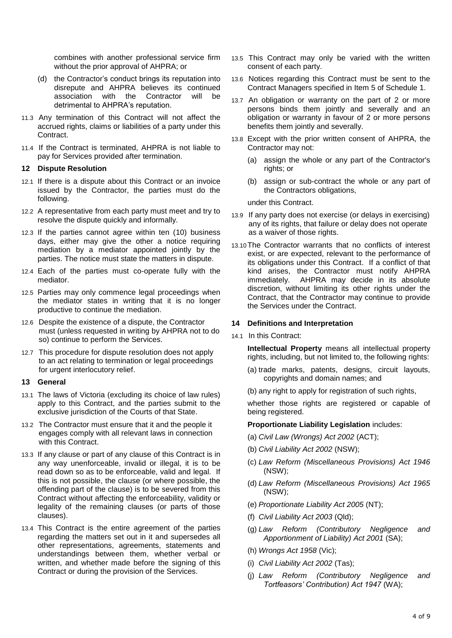combines with another professional service firm without the prior approval of AHPRA; or

- (d) the Contractor's conduct brings its reputation into disrepute and AHPRA believes its continued<br>association with the Contractor will be association with the Contractor will detrimental to AHPRA's reputation.
- 11.3 Any termination of this Contract will not affect the accrued rights, claims or liabilities of a party under this Contract.
- 11.4 If the Contract is terminated, AHPRA is not liable to pay for Services provided after termination.

#### <span id="page-14-0"></span>**12 Dispute Resolution**

- 12.1 If there is a dispute about this Contract or an invoice issued by the Contractor, the parties must do the following.
- 12.2 A representative from each party must meet and try to resolve the dispute quickly and informally.
- 12.3 If the parties cannot agree within ten (10) business days, either may give the other a notice requiring mediation by a mediator appointed jointly by the parties. The notice must state the matters in dispute.
- 12.4 Each of the parties must co-operate fully with the mediator.
- 12.5 Parties may only commence legal proceedings when the mediator states in writing that it is no longer productive to continue the mediation.
- 12.6 Despite the existence of a dispute, the Contractor must (unless requested in writing by AHPRA not to do so) continue to perform the Services.
- 12.7 This procedure for dispute resolution does not apply to an act relating to termination or legal proceedings for urgent interlocutory relief.

#### **13 General**

- 13.1 The laws of Victoria (excluding its choice of law rules) apply to this Contract, and the parties submit to the exclusive jurisdiction of the Courts of that State.
- 13.2 The Contractor must ensure that it and the people it engages comply with all relevant laws in connection with this Contract.
- 13.3 If any clause or part of any clause of this Contract is in any way unenforceable, invalid or illegal, it is to be read down so as to be enforceable, valid and legal. If this is not possible, the clause (or where possible, the offending part of the clause) is to be severed from this Contract without affecting the enforceability, validity or legality of the remaining clauses (or parts of those clauses).
- 13.4 This Contract is the entire agreement of the parties regarding the matters set out in it and supersedes all other representations, agreements, statements and understandings between them, whether verbal or written, and whether made before the signing of this Contract or during the provision of the Services.
- 13.5 This Contract may only be varied with the written consent of each party.
- <span id="page-14-1"></span>13.6 Notices regarding this Contract must be sent to the Contract Managers specified in Item 5 of Schedule 1.
- 13.7 An obligation or warranty on the part of 2 or more persons binds them jointly and severally and an obligation or warranty in favour of 2 or more persons benefits them jointly and severally.
- 13.8 Except with the prior written consent of AHPRA, the Contractor may not:
	- (a) assign the whole or any part of the Contractor's rights; or
	- (b) assign or sub-contract the whole or any part of the Contractors obligations,

under this Contract.

- 13.9 If any party does not exercise (or delays in exercising) any of its rights, that failure or delay does not operate as a waiver of those rights.
- 13.10The Contractor warrants that no conflicts of interest exist, or are expected, relevant to the performance of its obligations under this Contract. If a conflict of that kind arises, the Contractor must notify AHPRA immediately. AHPRA may decide in its absolute discretion, without limiting its other rights under the Contract, that the Contractor may continue to provide the Services under the Contract.

#### **14 Definitions and Interpretation**

14.1 In this Contract:

**Intellectual Property** means all intellectual property rights, including, but not limited to, the following rights:

- (a) trade marks, patents, designs, circuit layouts, copyrights and domain names; and
- (b) any right to apply for registration of such rights,

whether those rights are registered or capable of being registered.

#### **Proportionate Liability Legislation** includes:

- (a) *Civil Law (Wrongs) Act 2002* (ACT);
- (b) *Civil Liability Act 2002* (NSW);
- (c) *Law Reform (Miscellaneous Provisions) Act 1946* (NSW);
- (d) *Law Reform (Miscellaneous Provisions) Act 1965* (NSW);
- (e) *Proportionate Liability Act 2005* (NT);
- (f) *Civil Liability Act 2003* (Qld);
- (g) *Law Reform (Contributory Negligence and Apportionment of Liability) Act 2001* (SA);
- (h) *Wrongs Act 1958* (Vic);
- (i) *Civil Liability Act 2002* (Tas);
- (j) *Law Reform (Contributory Negligence and Tortfeasors' Contribution) Act 1947* (WA);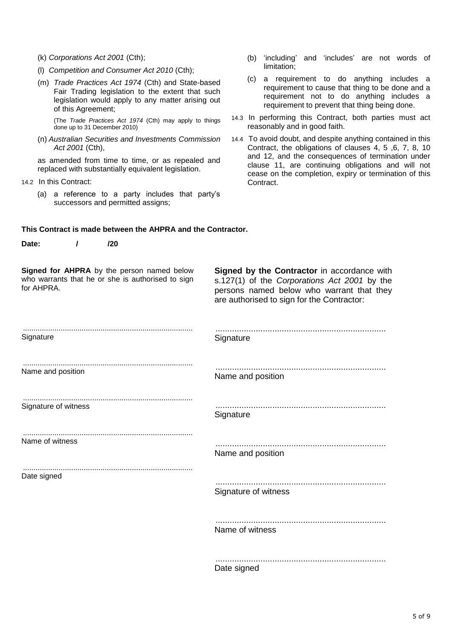- (k) *Corporations Act 2001* (Cth);
- (l) *Competition and Consumer Act 2010* (Cth);
- (m) *Trade Practices Act 1974* (Cth) and State-based Fair Trading legislation to the extent that such legislation would apply to any matter arising out of this Agreement;

(The *Trade Practices Act 1974* (Cth) may apply to things done up to 31 December 2010)

(n) *Australian Securities and Investments Commission Act 2001* (Cth),

as amended from time to time, or as repealed and replaced with substantially equivalent legislation.

- 14.2 In this Contract:
	- (a) a reference to a party includes that party's successors and permitted assigns;
- (b) 'including' and 'includes' are not words of limitation;
- (c) a requirement to do anything includes a requirement to cause that thing to be done and a requirement not to do anything includes a requirement to prevent that thing being done.
- 14.3 In performing this Contract, both parties must act reasonably and in good faith.
- 14.4 To avoid doubt, and despite anything contained in this Contract, the obligations of clauses 4, [5](#page-12-1) [,6,](#page-12-0) [7,](#page-13-1) [8,](#page-13-2) 10 and [12,](#page-14-0) and the consequences of termination under clause [11,](#page-13-3) are continuing obligations and will not cease on the completion, expiry or termination of this Contract.

#### **This Contract is made between the AHPRA and the Contractor.**

| Date:                | 1 | /20                                                                                             |                                                                                                                                                                                        |
|----------------------|---|-------------------------------------------------------------------------------------------------|----------------------------------------------------------------------------------------------------------------------------------------------------------------------------------------|
| for AHPRA.           |   | Signed for AHPRA by the person named below<br>who warrants that he or she is authorised to sign | Signed by the Contractor in accordance with<br>s.127(1) of the Corporations Act 2001 by the<br>persons named below who warrant that they<br>are authorised to sign for the Contractor: |
| Signature            |   |                                                                                                 | Signature                                                                                                                                                                              |
| Name and position    |   |                                                                                                 | Name and position                                                                                                                                                                      |
| Signature of witness |   |                                                                                                 | Signature                                                                                                                                                                              |
| Name of witness      |   |                                                                                                 | Name and position                                                                                                                                                                      |
| Date signed          |   |                                                                                                 |                                                                                                                                                                                        |
|                      |   |                                                                                                 | Signature of witness                                                                                                                                                                   |
|                      |   |                                                                                                 | Name of witness                                                                                                                                                                        |
|                      |   |                                                                                                 |                                                                                                                                                                                        |

Date signed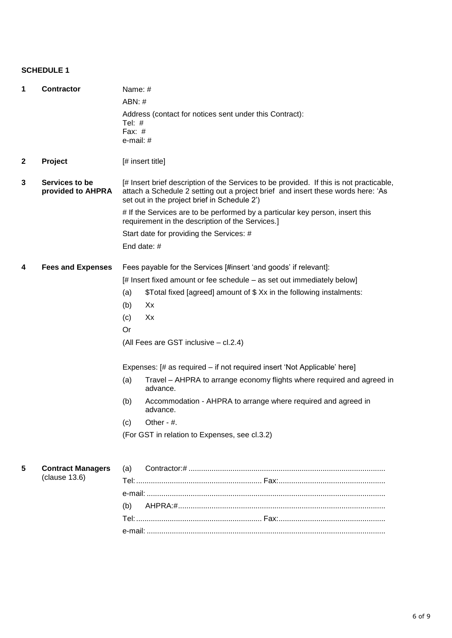### **SCHEDULE 1**

| 1            | <b>Contractor</b>                   | Name: #                                                                                                                           |                                                                                                                                                                                                                             |  |  |
|--------------|-------------------------------------|-----------------------------------------------------------------------------------------------------------------------------------|-----------------------------------------------------------------------------------------------------------------------------------------------------------------------------------------------------------------------------|--|--|
|              |                                     | ABN:#                                                                                                                             |                                                                                                                                                                                                                             |  |  |
|              |                                     | Tel: $#$<br>Fax: $#$<br>e-mail: #                                                                                                 | Address (contact for notices sent under this Contract):                                                                                                                                                                     |  |  |
| $\mathbf{2}$ | Project                             | [# insert title]                                                                                                                  |                                                                                                                                                                                                                             |  |  |
| 3            | Services to be<br>provided to AHPRA |                                                                                                                                   | [# Insert brief description of the Services to be provided. If this is not practicable,<br>attach a Schedule 2 setting out a project brief and insert these words here: 'As<br>set out in the project brief in Schedule 2') |  |  |
|              |                                     | # If the Services are to be performed by a particular key person, insert this<br>requirement in the description of the Services.] |                                                                                                                                                                                                                             |  |  |
|              |                                     | Start date for providing the Services: #                                                                                          |                                                                                                                                                                                                                             |  |  |
|              |                                     |                                                                                                                                   | End date: #                                                                                                                                                                                                                 |  |  |
|              |                                     |                                                                                                                                   |                                                                                                                                                                                                                             |  |  |
| 4            | <b>Fees and Expenses</b>            |                                                                                                                                   | Fees payable for the Services [#insert 'and goods' if relevant]:                                                                                                                                                            |  |  |
|              |                                     |                                                                                                                                   | [# Insert fixed amount or fee schedule – as set out immediately below]                                                                                                                                                      |  |  |
|              |                                     | (a)                                                                                                                               | \$Total fixed [agreed] amount of \$Xx in the following instalments:                                                                                                                                                         |  |  |
|              |                                     | (b)                                                                                                                               | Xx                                                                                                                                                                                                                          |  |  |
|              |                                     | (c)                                                                                                                               | Xx                                                                                                                                                                                                                          |  |  |
|              |                                     | Or                                                                                                                                |                                                                                                                                                                                                                             |  |  |
|              |                                     |                                                                                                                                   | (All Fees are GST inclusive - cl.2.4)                                                                                                                                                                                       |  |  |
|              |                                     | Expenses: [# as required – if not required insert 'Not Applicable' here]                                                          |                                                                                                                                                                                                                             |  |  |
|              |                                     | (a)                                                                                                                               | Travel – AHPRA to arrange economy flights where required and agreed in<br>advance.                                                                                                                                          |  |  |
|              |                                     | (b)                                                                                                                               | Accommodation - AHPRA to arrange where required and agreed in<br>advance.                                                                                                                                                   |  |  |
|              |                                     | (c)                                                                                                                               | Other - $#$ .                                                                                                                                                                                                               |  |  |
|              |                                     |                                                                                                                                   | (For GST in relation to Expenses, see cl.3.2)                                                                                                                                                                               |  |  |
|              |                                     |                                                                                                                                   |                                                                                                                                                                                                                             |  |  |
| 5            | <b>Contract Managers</b>            | (a)                                                                                                                               |                                                                                                                                                                                                                             |  |  |
|              | (clause 13.6)                       |                                                                                                                                   |                                                                                                                                                                                                                             |  |  |
|              |                                     |                                                                                                                                   |                                                                                                                                                                                                                             |  |  |
|              |                                     | (b)                                                                                                                               |                                                                                                                                                                                                                             |  |  |
|              |                                     |                                                                                                                                   |                                                                                                                                                                                                                             |  |  |
|              |                                     |                                                                                                                                   |                                                                                                                                                                                                                             |  |  |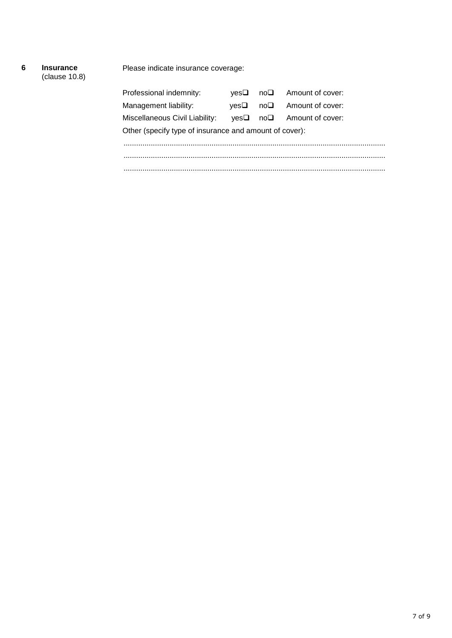## **6 Insurance**

(clause [10.8\)](#page-13-4)

Please indicate insurance coverage:

| Professional indemnity:                                | ves❑ |  | $no\Box$ Amount of cover:                 |  |
|--------------------------------------------------------|------|--|-------------------------------------------|--|
| Management liability:                                  | ves❑ |  | $no\Box$ Amount of cover:                 |  |
| Miscellaneous Civil Liability:                         |      |  | $yes \Box \quad no \Box$ Amount of cover: |  |
| Other (specify type of insurance and amount of cover): |      |  |                                           |  |
|                                                        |      |  |                                           |  |
|                                                        |      |  |                                           |  |
|                                                        |      |  |                                           |  |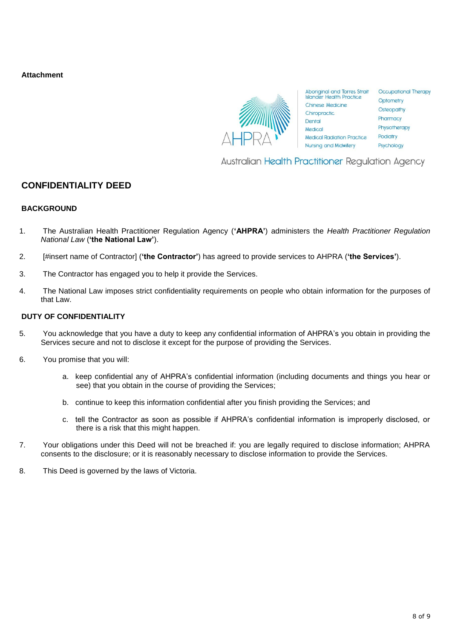**Attachment**



Australian Health Practitioner Regulation Agency

## **CONFIDENTIALITY DEED**

#### **BACKGROUND**

- 1. The Australian Health Practitioner Regulation Agency (**'AHPRA'**) administers the *Health Practitioner Regulation National Law* (**'the National Law'**).
- 2. [#insert name of Contractor] (**'the Contractor'**) has agreed to provide services to AHPRA (**'the Services'**).
- 3. The Contractor has engaged you to help it provide the Services.
- 4. The National Law imposes strict confidentiality requirements on people who obtain information for the purposes of that Law.

#### **DUTY OF CONFIDENTIALITY**

- 5. You acknowledge that you have a duty to keep any confidential information of AHPRA's you obtain in providing the Services secure and not to disclose it except for the purpose of providing the Services.
- 6. You promise that you will:
	- a. keep confidential any of AHPRA's confidential information (including documents and things you hear or see) that you obtain in the course of providing the Services;
	- b. continue to keep this information confidential after you finish providing the Services; and
	- c. tell the Contractor as soon as possible if AHPRA's confidential information is improperly disclosed, or there is a risk that this might happen.
- 7. Your obligations under this Deed will not be breached if: you are legally required to disclose information; AHPRA consents to the disclosure; or it is reasonably necessary to disclose information to provide the Services.
- 8. This Deed is governed by the laws of Victoria.